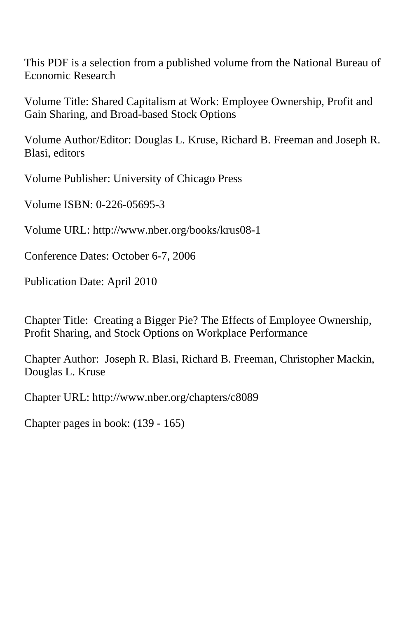This PDF is a selection from a published volume from the National Bureau of Economic Research

Volume Title: Shared Capitalism at Work: Employee Ownership, Profit and Gain Sharing, and Broad-based Stock Options

Volume Author/Editor: Douglas L. Kruse, Richard B. Freeman and Joseph R. Blasi, editors

Volume Publisher: University of Chicago Press

Volume ISBN: 0-226-05695-3

Volume URL: http://www.nber.org/books/krus08-1

Conference Dates: October 6-7, 2006

Publication Date: April 2010

Chapter Title: Creating a Bigger Pie? The Effects of Employee Ownership, Profit Sharing, and Stock Options on Workplace Performance

Chapter Author: Joseph R. Blasi, Richard B. Freeman, Christopher Mackin, Douglas L. Kruse

Chapter URL: http://www.nber.org/chapters/c8089

Chapter pages in book: (139 - 165)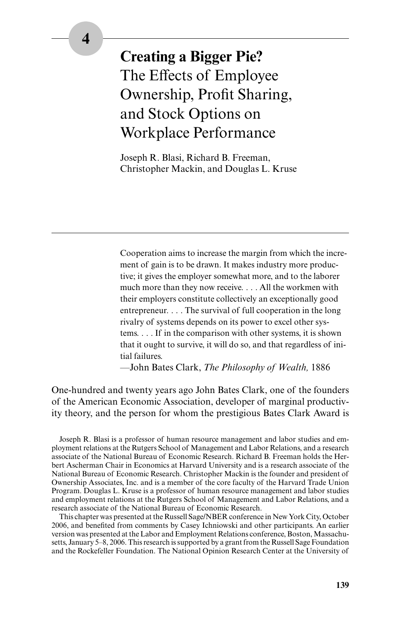# **Creating a Bigger Pie?** The Effects of Employee Ownership, Profit Sharing, and Stock Options on Workplace Performance

Joseph R. Blasi, Richard B. Freeman, Christopher Mackin, and Douglas L. Kruse

Cooperation aims to increase the margin from which the increment of gain is to be drawn. It makes industry more productive; it gives the employer somewhat more, and to the laborer much more than they now receive. . . . All the workmen with their employers constitute collectively an exceptionally good entrepreneur. . . . The survival of full cooperation in the long rivalry of systems depends on its power to excel other systems. . . . If in the comparison with other systems, it is shown that it ought to survive, it will do so, and that regardless of initial failures.

—John Bates Clark, *The Philosophy of Wealth,* 1886

One- hundred and twenty years ago John Bates Clark, one of the founders of the American Economic Association, developer of marginal productivity theory, and the person for whom the prestigious Bates Clark Award is

Joseph R. Blasi is a professor of human resource management and labor studies and employment relations at the Rutgers School of Management and Labor Relations, and a research associate of the National Bureau of Economic Research. Richard B. Freeman holds the Herbert Ascherman Chair in Economics at Harvard University and is a research associate of the National Bureau of Economic Research. Christopher Mackin is the founder and president of Ownership Associates, Inc. and is a member of the core faculty of the Harvard Trade Union Program. Douglas L. Kruse is a professor of human resource management and labor studies and employment relations at the Rutgers School of Management and Labor Relations, and a research associate of the National Bureau of Economic Research.

This chapter was presented at the Russell Sage/ NBER conference in New York City, October 2006, and benefited from comments by Casey Ichniowski and other participants. An earlier version was presented at the Labor and Employment Relations conference, Boston, Massachusetts, January 5–8, 2006. This research is supported by a grant from the Russell Sage Foundation and the Rockefeller Foundation. The National Opinion Research Center at the University of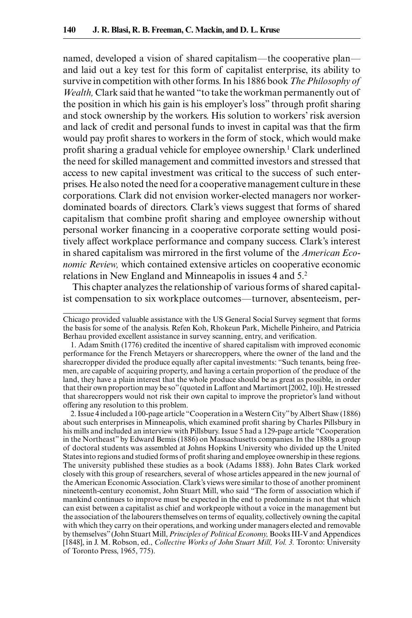named, developed a vision of shared capitalism—the cooperative plan and laid out a key test for this form of capitalist enterprise, its ability to survive in competition with other forms. In his 1886 book *The Philosophy of Wealth,* Clark said that he wanted "to take the workman permanently out of the position in which his gain is his employer's loss" through profit sharing and stock ownership by the workers. His solution to workers' risk aversion and lack of credit and personal funds to invest in capital was that the firm would pay profit shares to workers in the form of stock, which would make profit sharing a gradual vehicle for employee ownership.<sup>1</sup> Clark underlined the need for skilled management and committed investors and stressed that access to new capital investment was critical to the success of such enterprises. He also noted the need for a cooperative management culture in these corporations. Clark did not envision worker- elected managers nor worker dominated boards of directors. Clark's views suggest that forms of shared capitalism that combine profi t sharing and employee ownership without personal worker financing in a cooperative corporate setting would positively affect workplace performance and company success. Clark's interest in shared capitalism was mirrored in the first volume of the *American Economic Review,* which contained extensive articles on cooperative economic relations in New England and Minneapolis in issues 4 and 5.2

This chapter analyzes the relationship of various forms of shared capitalist compensation to six workplace outcomes—turnover, absenteeism, per-

2. Issue 4 included a 100-page article "Cooperation in a Western City" by Albert Shaw (1886) about such enterprises in Minneapolis, which examined profi t sharing by Charles Pillsbury in his mills and included an interview with Pillsbury. Issue 5 had a 129-page article "Cooperation in the Northeast" by Edward Bemis (1886) on Massachusetts companies. In the 1880s a group of doctoral students was assembled at Johns Hopkins University who divided up the United States into regions and studied forms of profi t sharing and employee ownership in these regions. The university published these studies as a book (Adams 1888). John Bates Clark worked closely with this group of researchers, several of whose articles appeared in the new journal of the American Economic Association. Clark's views were similar to those of another prominent nineteenth- century economist, John Stuart Mill, who said "The form of association which if mankind continues to improve must be expected in the end to predominate is not that which can exist between a capitalist as chief and workpeople without a voice in the management but the association of the labourers themselves on terms of equality, collectively owning the capital with which they carry on their operations, and working under managers elected and removable by themselves" (John Stuart Mill, *Principles of Political Economy*, Books III-V and Appendices [1848], in J. M. Robson, ed., *Collective Works of John Stuart Mill, Vol. 3.* Toronto: University of Toronto Press, 1965, 775).

Chicago provided valuable assistance with the US General Social Survey segment that forms the basis for some of the analysis. Refen Koh, Rhokeun Park, Michelle Pinheiro, and Patricia Berhau provided excellent assistance in survey scanning, entry, and verification.

<sup>1.</sup> Adam Smith (1776) credited the incentive of shared capitalism with improved economic performance for the French Metayers or sharecroppers, where the owner of the land and the sharecropper divided the produce equally after capital investments: "Such tenants, being freemen, are capable of acquiring property, and having a certain proportion of the produce of the land, they have a plain interest that the whole produce should be as great as possible, in order that their own proportion may be so" (quoted in Laffont and Martimort [2002, 10]). He stressed that sharecroppers would not risk their own capital to improve the proprietor's land without offering any resolution to this problem.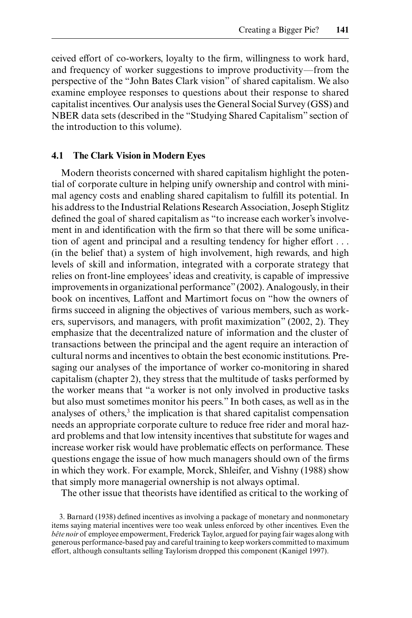ceived effort of co-workers, loyalty to the firm, willingness to work hard, and frequency of worker suggestions to improve productivity—from the perspective of the "John Bates Clark vision" of shared capitalism. We also examine employee responses to questions about their response to shared capitalist incentives. Our analysis uses the General Social Survey (GSS) and NBER data sets (described in the "Studying Shared Capitalism" section of the introduction to this volume).

#### **4.1 The Clark Vision in Modern Eyes**

Modern theorists concerned with shared capitalism highlight the potential of corporate culture in helping unify ownership and control with minimal agency costs and enabling shared capitalism to fulfill its potential. In his address to the Industrial Relations Research Association, Joseph Stiglitz defined the goal of shared capitalism as "to increase each worker's involvement in and identification with the firm so that there will be some unification of agent and principal and a resulting tendency for higher effort . . . (in the belief that) a system of high involvement, high rewards, and high levels of skill and information, integrated with a corporate strategy that relies on front-line employees' ideas and creativity, is capable of impressive improvements in organizational performance" (2002). Analogously, in their book on incentives, Laffont and Martimort focus on "how the owners of firms succeed in aligning the objectives of various members, such as workers, supervisors, and managers, with profit maximization" (2002, 2). They emphasize that the decentralized nature of information and the cluster of transactions between the principal and the agent require an interaction of cultural norms and incentives to obtain the best economic institutions. Presaging our analyses of the importance of worker co-monitoring in shared capitalism (chapter 2), they stress that the multitude of tasks performed by the worker means that "a worker is not only involved in productive tasks but also must sometimes monitor his peers." In both cases, as well as in the analyses of others,<sup>3</sup> the implication is that shared capitalist compensation needs an appropriate corporate culture to reduce free rider and moral hazard problems and that low intensity incentives that substitute for wages and increase worker risk would have problematic effects on performance. These questions engage the issue of how much managers should own of the firms in which they work. For example, Morck, Shleifer, and Vishny (1988) show that simply more managerial ownership is not always optimal.

The other issue that theorists have identified as critical to the working of

<sup>3.</sup> Barnard (1938) defined incentives as involving a package of monetary and nonmonetary items saying material incentives were too weak unless enforced by other incentives. Even the *bête noir* of employee empowerment, Frederick Taylor, argued for paying fair wages along with generous performance- based pay and careful training to keep workers committed to maximum effort, although consultants selling Taylorism dropped this component (Kanigel 1997).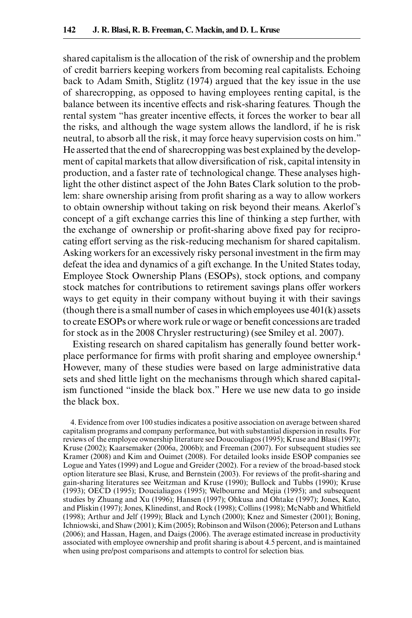shared capitalism is the allocation of the risk of ownership and the problem of credit barriers keeping workers from becoming real capitalists. Echoing back to Adam Smith, Stiglitz (1974) argued that the key issue in the use of sharecropping, as opposed to having employees renting capital, is the balance between its incentive effects and risk- sharing features. Though the rental system "has greater incentive effects, it forces the worker to bear all the risks, and although the wage system allows the landlord, if he is risk neutral, to absorb all the risk, it may force heavy supervision costs on him." He asserted that the end of sharecropping was best explained by the development of capital markets that allow diversification of risk, capital intensity in production, and a faster rate of technological change. These analyses highlight the other distinct aspect of the John Bates Clark solution to the problem: share ownership arising from profit sharing as a way to allow workers to obtain ownership without taking on risk beyond their means. Akerlof's concept of a gift exchange carries this line of thinking a step further, with the exchange of ownership or profit-sharing above fixed pay for reciprocating effort serving as the risk- reducing mechanism for shared capitalism. Asking workers for an excessively risky personal investment in the firm may defeat the idea and dynamics of a gift exchange. In the United States today, Employee Stock Ownership Plans (ESOPs), stock options, and company stock matches for contributions to retirement savings plans offer workers ways to get equity in their company without buying it with their savings (though there is a small number of cases in which employees use 401(k) assets to create ESOPs or where work rule or wage or benefit concessions are traded for stock as in the 2008 Chrysler restructuring) (see Smiley et al. 2007).

Existing research on shared capitalism has generally found better workplace performance for firms with profit sharing and employee ownership.<sup>4</sup> However, many of these studies were based on large administrative data sets and shed little light on the mechanisms through which shared capitalism functioned "inside the black box." Here we use new data to go inside the black box.

4. Evidence from over 100 studies indicates a positive association on average between shared capitalism programs and company performance, but with substantial dispersion in results. For reviews of the employee ownership literature see Doucouliagos (1995); Kruse and Blasi (1997); Kruse (2002); Kaarsemaker (2006a, 2006b); and Freeman (2007). For subsequent studies see Kramer (2008) and Kim and Ouimet (2008). For detailed looks inside ESOP companies see Logue and Yates (1999) and Logue and Greider (2002). For a review of the broad-based stock option literature see Blasi, Kruse, and Bernstein (2003). For reviews of the profit-sharing and gain- sharing literatures see Weitzman and Kruse (1990); Bullock and Tubbs (1990); Kruse (1993); OECD (1995); Doucialiagos (1995); Welbourne and Mejia (1995); and subsequent studies by Zhuang and Xu (1996); Hansen (1997); Ohkusa and Ohtake (1997); Jones, Kato, and Pliskin (1997); Jones, Klinedinst, and Rock (1998); Collins (1998); McNabb and Whitfield (1998); Arthur and Jelf (1999); Black and Lynch (2000); Knez and Simester (2001); Boning, Ichniowski, and Shaw (2001); Kim (2005); Robinson and Wilson (2006); Peterson and Luthans (2006); and Hassan, Hagen, and Daigs (2006). The average estimated increase in productivity associated with employee ownership and profi t sharing is about 4.5 percent, and is maintained when using pre/post comparisons and attempts to control for selection bias.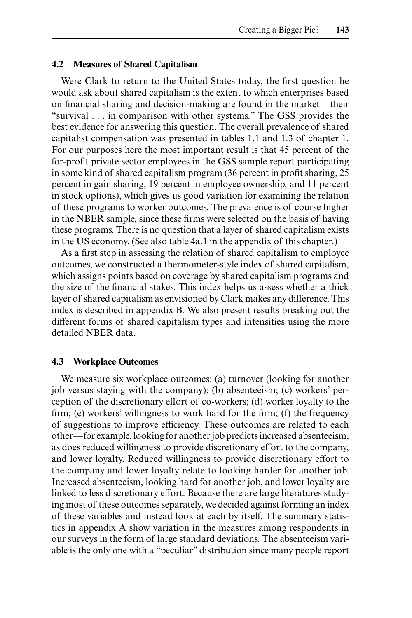#### **4.2 Measures of Shared Capitalism**

Were Clark to return to the United States today, the first question he would ask about shared capitalism is the extent to which enterprises based on financial sharing and decision-making are found in the market—their "survival . . . in comparison with other systems." The GSS provides the best evidence for answering this question. The overall prevalence of shared capitalist compensation was presented in tables 1.1 and 1.3 of chapter 1. For our purposes here the most important result is that 45 percent of the for-profit private sector employees in the GSS sample report participating in some kind of shared capitalism program (36 percent in profit sharing, 25 percent in gain sharing, 19 percent in employee ownership, and 11 percent in stock options), which gives us good variation for examining the relation of these programs to worker outcomes. The prevalence is of course higher in the NBER sample, since these firms were selected on the basis of having these programs. There is no question that a layer of shared capitalism exists in the US economy. (See also table 4a.1 in the appendix of this chapter.)

As a first step in assessing the relation of shared capitalism to employee outcomes, we constructed a thermometer- style index of shared capitalism, which assigns points based on coverage by shared capitalism programs and the size of the financial stakes. This index helps us assess whether a thick layer of shared capitalism as envisioned by Clark makes any difference. This index is described in appendix B. We also present results breaking out the different forms of shared capitalism types and intensities using the more detailed NBER data.

#### **4.3 Workplace Outcomes**

We measure six workplace outcomes: (a) turnover (looking for another job versus staying with the company); (b) absenteeism; (c) workers' perception of the discretionary effort of co- workers; (d) worker loyalty to the firm; (e) workers' willingness to work hard for the firm; (f) the frequency of suggestions to improve efficiency. These outcomes are related to each other—for example, looking for another job predicts increased absenteeism, as does reduced willingness to provide discretionary effort to the company, and lower loyalty. Reduced willingness to provide discretionary effort to the company and lower loyalty relate to looking harder for another job. Increased absenteeism, looking hard for another job, and lower loyalty are linked to less discretionary effort. Because there are large literatures studying most of these outcomes separately, we decided against forming an index of these variables and instead look at each by itself. The summary statistics in appendix A show variation in the measures among respondents in our surveys in the form of large standard deviations. The absenteeism variable is the only one with a "peculiar" distribution since many people report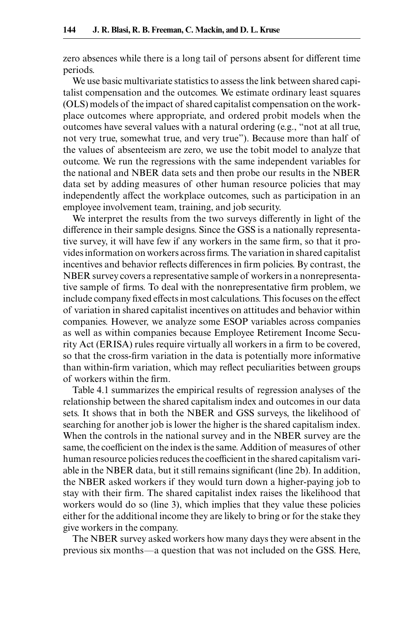zero absences while there is a long tail of persons absent for different time periods.

We use basic multivariate statistics to assess the link between shared capitalist compensation and the outcomes. We estimate ordinary least squares (OLS) models of the impact of shared capitalist compensation on the workplace outcomes where appropriate, and ordered probit models when the outcomes have several values with a natural ordering (e.g., "not at all true, not very true, somewhat true, and very true"). Because more than half of the values of absenteeism are zero, we use the tobit model to analyze that outcome. We run the regressions with the same independent variables for the national and NBER data sets and then probe our results in the NBER data set by adding measures of other human resource policies that may independently affect the workplace outcomes, such as participation in an employee involvement team, training, and job security.

We interpret the results from the two surveys differently in light of the difference in their sample designs. Since the GSS is a nationally representative survey, it will have few if any workers in the same firm, so that it provides information on workers across firms. The variation in shared capitalist incentives and behavior reflects differences in firm policies. By contrast, the NBER survey covers a representative sample of workers in a nonrepresentative sample of firms. To deal with the nonrepresentative firm problem, we include company fixed effects in most calculations. This focuses on the effect of variation in shared capitalist incentives on attitudes and behavior within companies. However, we analyze some ESOP variables across companies as well as within companies because Employee Retirement Income Security Act (ERISA) rules require virtually all workers in a firm to be covered, so that the cross-firm variation in the data is potentially more informative than within-firm variation, which may reflect peculiarities between groups of workers within the firm.

Table 4.1 summarizes the empirical results of regression analyses of the relationship between the shared capitalism index and outcomes in our data sets. It shows that in both the NBER and GSS surveys, the likelihood of searching for another job is lower the higher is the shared capitalism index. When the controls in the national survey and in the NBER survey are the same, the coefficient on the index is the same. Addition of measures of other human resource policies reduces the coefficient in the shared capitalism variable in the NBER data, but it still remains significant (line 2b). In addition, the NBER asked workers if they would turn down a higher-paying job to stay with their firm. The shared capitalist index raises the likelihood that workers would do so (line 3), which implies that they value these policies either for the additional income they are likely to bring or for the stake they give workers in the company.

The NBER survey asked workers how many days they were absent in the previous six months—a question that was not included on the GSS. Here,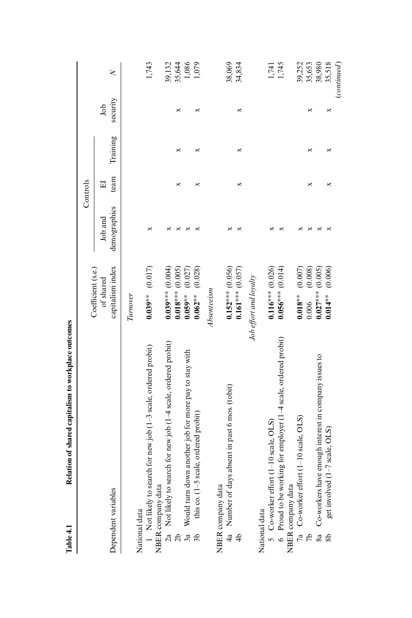| Table 4.1                          | Relation of shared capitalism to workplace outcomes                              |                               |                         |           |          |                 |                             |
|------------------------------------|----------------------------------------------------------------------------------|-------------------------------|-------------------------|-----------|----------|-----------------|-----------------------------|
|                                    |                                                                                  | Coefficient (s.e.)            |                         | Controls  |          |                 |                             |
| Dependent variables                |                                                                                  | capitalism index<br>of shared | demographics<br>Job and | team<br>冚 | Training | security<br>Job | $\geq$                      |
|                                    |                                                                                  | Turnover                      |                         |           |          |                 |                             |
| NBER company data<br>National data | 1 Not likely to search for new job (1-3 scale, ordered probit)                   | $0.039**$ (0.017)             | ×                       |           |          |                 | 1,743                       |
| 2a                                 | Not likely to search for new job (1-4 scale, ordered probit)                     | $0.039***$ (0.004)            |                         |           |          |                 | 39,132                      |
|                                    |                                                                                  | $0.018***$ (0.005)            |                         | ×         | ×        | ×               | 35,644                      |
| 3a                                 | Would turn down another job for more pay to stay with                            | $0.059**$ (0.027)             |                         |           |          |                 | 1,086                       |
| 3 <sub>b</sub>                     | this co. (1-5 scale, ordered probit)                                             | $0.062**$ (0.028)             |                         | ×         | ×        | ×               | 1,079                       |
|                                    |                                                                                  | Absenteeism                   |                         |           |          |                 |                             |
| NBER company data                  |                                                                                  |                               |                         |           |          |                 |                             |
|                                    | 4a Number of days absent in past 6 mos. (tobit)                                  | $0.152***$ (0.056)            |                         |           |          |                 | 38,069                      |
| $\frac{4}{5}$                      |                                                                                  | $0.161***$ (0.057)            |                         | ×         | ×        | ×               | 34,834                      |
|                                    |                                                                                  | Job effort and loyalty        |                         |           |          |                 |                             |
| National data                      |                                                                                  |                               |                         |           |          |                 |                             |
|                                    | 5 Co-worker effort (1-10 scale, OLS)                                             | $0.116***$ (0.026)            |                         |           |          |                 | 1,741                       |
|                                    | 6 Proud to be working for employer $(1-4 \text{ scale}, \text{ ordered profit})$ | $0.056***$ (0.014)            |                         |           |          |                 | 1,745                       |
| NBER company data                  |                                                                                  |                               |                         |           |          |                 |                             |
|                                    | 7a Co-worker effort (1-10 scale, OLS)                                            | $0.018**$ (0.007)             |                         |           |          |                 | 39,252                      |
|                                    |                                                                                  | (0.008)<br>0.006              |                         | ×         | ×        | ×               | 35,653                      |
| 8a                                 | Co-workers have enough interest in company issues to                             | $0.027***$ (0.005)            |                         |           |          |                 | 38,980                      |
|                                    | get involved (1-7 scale, OLS)                                                    | $0.014**$ (0.006)             |                         |           | ×        | ×               | 35,518                      |
|                                    |                                                                                  |                               |                         |           |          |                 | $_{\left(continued\right)}$ |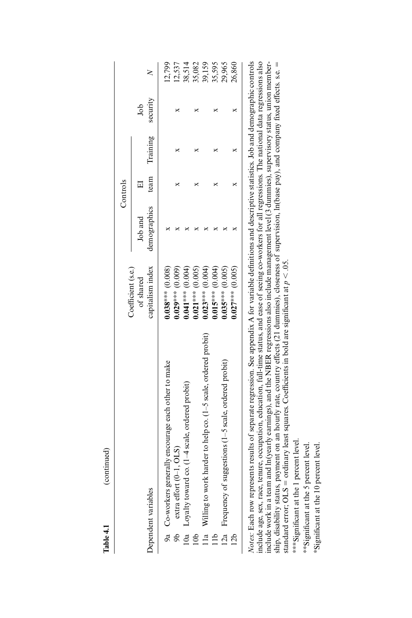|                                                                                                                                                                     |                                 |              | Controls |               |          |                  |
|---------------------------------------------------------------------------------------------------------------------------------------------------------------------|---------------------------------|--------------|----------|---------------|----------|------------------|
|                                                                                                                                                                     | Coefficient (s.e.)<br>of shared | Job and      |          |               | Job      |                  |
| Dependent variables                                                                                                                                                 | capitalism index                | demographics |          | team Training | security |                  |
| 9a Co-workers generally encourage each other to make                                                                                                                | $0.038***00.008$                |              |          |               |          | (2,799)          |
| $extra$ effort $(0-1, OLS)$                                                                                                                                         | $0.029***0.009$                 |              |          |               |          | 12,537           |
| 10a Loyalty toward co. (1-4 scale, ordered probit)                                                                                                                  | $.041***$ (0.004)               |              |          |               |          | 38,514           |
|                                                                                                                                                                     | $0.005$ .                       |              |          |               |          | 35,082           |
| Willing to work harder to help co. (1–5 scale, ordered probit)                                                                                                      | $0.023***$ (0.004)              |              |          |               |          | 89,159<br>35,595 |
|                                                                                                                                                                     | $0.015***00.004$                |              |          |               |          |                  |
| 12a Frequency of suggestions (1–5 scale, ordered probit)                                                                                                            | $0.035***(0.005)$               |              |          |               |          | 29,965           |
|                                                                                                                                                                     | 0.005                           |              |          |               |          | 26,860           |
| <i>Notes</i> : Each row represents results of separate regression. See appendix A for variable definitions and descriptive statistics. Job and demographic controls |                                 |              |          |               |          |                  |

include age, sex, race, tenure, occupation, education, full- time status, and ease of seeing co- workers for all regressions. The national data regressions also molude age, sex, race, tenure, occupation, education, tull-time status, and ease of seeing co-workers for all regressions. The national data regressions also include work in a team and ln(yearly earnings), and the NBER regressions also include management level (3 dummies), supervisory status, union membership, disability status, payment on an hourly rate, country effects (21 dumnies), closeness of supervision, ln(base pay), and company fixed effects. s.e. =<br>standard error; OLS = ordinary least squares. Coefficients in bol include work in a team and ln(yearly earnings), and the NBER regressions also include management level (3 dummies), supervisory status, union membership, disability status, payment on an hourly rate, country effects (21 dummies), closeness of supervision, ln(base pay), and company fixed effects. s.e. = ordinary least squares. Coefficients in bold are significant at  $p < .05$ . standard error;  $OLS =$ 

\*\*\* Significant at the 1 percent level. ∗∗∗Signifi cant at the 1 percent level.

\*\*Significant at the 5 percent level. ∗∗Signifi cant at the 5 percent level.

\*Significant at the 10 percent level. ∗Signifi cant at the 10 percent level.

(continued) **Table 4.1** (continued) Table 4.1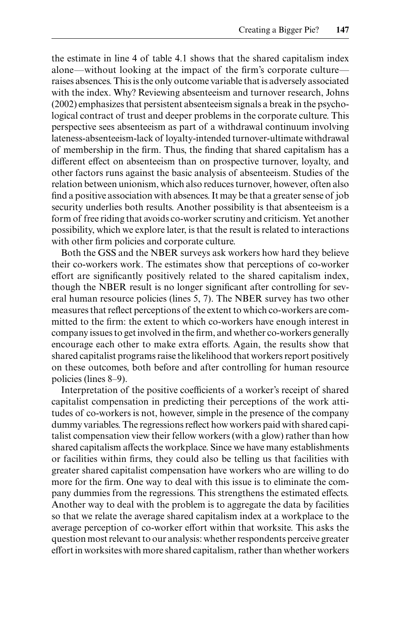the estimate in line 4 of table 4.1 shows that the shared capitalism index alone—without looking at the impact of the firm's corporate culture raises absences. This is the only outcome variable that is adversely associated with the index. Why? Reviewing absenteeism and turnover research, Johns (2002) emphasizes that persistent absenteeism signals a break in the psychological contract of trust and deeper problems in the corporate culture. This perspective sees absenteeism as part of a withdrawal continuum involving lateness- absenteeism- lack of loyalty- intended turnover- ultimate withdrawal of membership in the firm. Thus, the finding that shared capitalism has a different effect on absenteeism than on prospective turnover, loyalty, and other factors runs against the basic analysis of absenteeism. Studies of the relation between unionism, which also reduces turnover, however, often also find a positive association with absences. It may be that a greater sense of job security underlies both results. Another possibility is that absenteeism is a form of free riding that avoids co- worker scrutiny and criticism. Yet another possibility, which we explore later, is that the result is related to interactions with other firm policies and corporate culture.

Both the GSS and the NBER surveys ask workers how hard they believe their co- workers work. The estimates show that perceptions of co- worker effort are significantly positively related to the shared capitalism index, though the NBER result is no longer significant after controlling for several human resource policies (lines 5, 7). The NBER survey has two other measures that reflect perceptions of the extent to which co-workers are committed to the firm: the extent to which co-workers have enough interest in company issues to get involved in the firm, and whether co-workers generally encourage each other to make extra efforts. Again, the results show that shared capitalist programs raise the likelihood that workers report positively on these outcomes, both before and after controlling for human resource policies (lines  $8-9$ ).

Interpretation of the positive coefficients of a worker's receipt of shared capitalist compensation in predicting their perceptions of the work attitudes of co- workers is not, however, simple in the presence of the company dummy variables. The regressions reflect how workers paid with shared capitalist compensation view their fellow workers (with a glow) rather than how shared capitalism affects the workplace. Since we have many establishments or facilities within firms, they could also be telling us that facilities with greater shared capitalist compensation have workers who are willing to do more for the firm. One way to deal with this issue is to eliminate the company dummies from the regressions. This strengthens the estimated effects. Another way to deal with the problem is to aggregate the data by facilities so that we relate the average shared capitalism index at a workplace to the average perception of co- worker effort within that worksite. This asks the question most relevant to our analysis: whether respondents perceive greater effort in worksites with more shared capitalism, rather than whether workers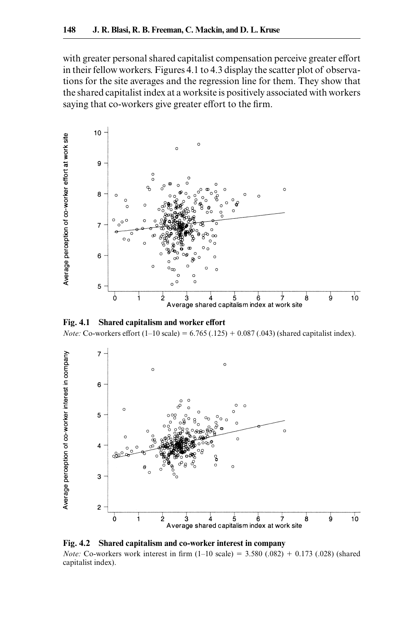with greater personal shared capitalist compensation perceive greater effort in their fellow workers. Figures 4.1 to 4.3 display the scatter plot of observations for the site averages and the regression line for them. They show that the shared capitalist index at a worksite is positively associated with workers saying that co-workers give greater effort to the firm.



Fig. 4.1 Shared capitalism and worker effort *Note:* Co-workers effort  $(1-10 \text{ scale}) = 6.765$   $(.125) + 0.087$   $(.043)$  (shared capitalist index).



**Fig. 4.2 Shared capitalism and co- worker interest in company** *Note:* Co-workers work interest in firm  $(1-10 \text{ scale}) = 3.580 (0.082) + 0.173 (0.028)$  (shared capitalist index).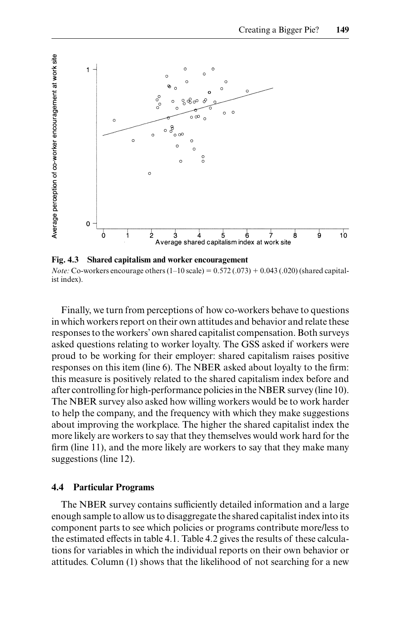

**Fig. 4.3 Shared capitalism and worker encouragement** *Note:* Co-workers encourage others  $(1-10 \text{ scale}) = 0.572$  (.073)  $+ 0.043$  (.020) (shared capitalist index).

Finally, we turn from perceptions of how co- workers behave to questions in which workers report on their own attitudes and behavior and relate these responses to the workers' own shared capitalist compensation. Both surveys asked questions relating to worker loyalty. The GSS asked if workers were proud to be working for their employer: shared capitalism raises positive responses on this item (line 6). The NBER asked about loyalty to the firm: this measure is positively related to the shared capitalism index before and after controlling for high- performance policies in the NBER survey (line 10). The NBER survey also asked how willing workers would be to work harder to help the company, and the frequency with which they make suggestions about improving the workplace. The higher the shared capitalist index the more likely are workers to say that they themselves would work hard for the firm (line 11), and the more likely are workers to say that they make many suggestions (line 12).

#### **4.4 Particular Programs**

The NBER survey contains sufficiently detailed information and a large enough sample to allow us to disaggregate the shared capitalist index into its component parts to see which policies or programs contribute more/ less to the estimated effects in table 4.1. Table 4.2 gives the results of these calculations for variables in which the individual reports on their own behavior or attitudes. Column (1) shows that the likelihood of not searching for a new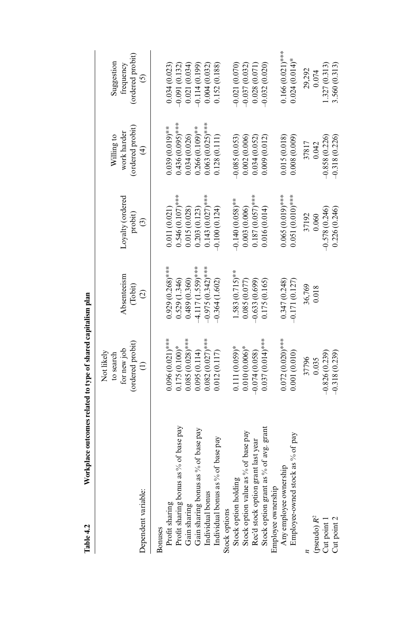| Dependent variable:                                                                                                                                                                                                                                                                                                                                                                                                    | (ordered probit)<br>for new job<br>Not likely<br>to search                                                                                                                                                                | Absenteeism<br>(Tobit)<br>$\widehat{\circ}$                                                                                                                                                                 | Loyalty (ordered<br>$\text{probit})$<br>$\odot$                                                                                                                                                               | (ordered probit)<br>work harder<br>Willing to<br>$\hat{t}$                                                                                                                                             | (ordered probit)<br>Suggestion<br>frequency<br>$\widehat{\mathbf{c}}$                                                                                                                              |
|------------------------------------------------------------------------------------------------------------------------------------------------------------------------------------------------------------------------------------------------------------------------------------------------------------------------------------------------------------------------------------------------------------------------|---------------------------------------------------------------------------------------------------------------------------------------------------------------------------------------------------------------------------|-------------------------------------------------------------------------------------------------------------------------------------------------------------------------------------------------------------|---------------------------------------------------------------------------------------------------------------------------------------------------------------------------------------------------------------|--------------------------------------------------------------------------------------------------------------------------------------------------------------------------------------------------------|----------------------------------------------------------------------------------------------------------------------------------------------------------------------------------------------------|
| as % of base pay<br>Stock option grant as % of avg. grant<br>Gain sharing<br>Gain sharing bonus as % of base pay<br>Individual bonus<br>Individual bonus as % of base pay<br>Stock option holding<br>Stock option holding<br>Stock option value as % of base pay<br>Rec'd stock option grant last year<br>chip<br>Profit sharing bonus<br>Employee ownership<br>Any employee owner<br>Profit sharing<br><b>Bonuses</b> | $0.096(0.021)$ ***<br>$0.085(0.028)$ ***<br>$0.082(0.027)$ ***<br>$0.037(0.014)$ ***<br>$0.072(0.020)$ ***<br>$0.175(0.100)$ *<br>$0.010(0.006)$ *<br>$0.111(0.059)$ *<br>0.095(0.114)<br>0.012(0.117)<br>$-0.074(0.058)$ | $0.929(0.268)$ ***<br>$-4.117(1.559)$ ***<br>$-0.975(0.342)$ ***<br>$1.583(0.715)$ **<br>0.529(1.346)<br>0.489(0.360)<br>$-0.364(1.602)$<br>0.085(0.077)<br>$-0.633(0.699)$<br>0.347(0.248)<br>0.175(0.165) | $0.546(0.107)$ ***<br>$0.143(0.027)$ ***<br>$0.187(0.057)$ ***<br>$0.065(0.019)$ ***<br>$-0.140(0.058)$ **<br>$-0.100(0.124)$<br>0.015(0.028)<br>0.003(0.006)<br>0.203(0.123)<br>0.011(0.021)<br>0.016(0.014) | $0.436(0.095)$ ***<br>$0.063(0.025)$ ***<br>$0.039(0.019)$ **<br>$0.266(0.109)$ **<br>0.034 (0.026)<br>0.128(0.111)<br>$-0.085(0.053)$<br>0.002(0.006)<br>0.034(0.052)<br>0.015(0.018)<br>0.009(0.012) | $0.166(0.021)$ ***<br>0.034(0.023)<br>$-0.091(0.132)$<br>0.004(0.032)<br>0.152 (0.188)<br>$-0.021(0.070)$<br>$-0.032(0.020)$<br>0.021(0.034)<br>$-0.114(0.199)$<br>$-0.037(0.032)$<br>0.028(0.071) |
| Employee-owned stock as % of pay                                                                                                                                                                                                                                                                                                                                                                                       | 0.001(0.010)                                                                                                                                                                                                              | $-0.171(0.127)$                                                                                                                                                                                             | $0.051(0.010)$ ***                                                                                                                                                                                            | 0.008(0.009)                                                                                                                                                                                           | $0.024(0.014)$ *                                                                                                                                                                                   |
| (pseudo) $R^2$<br>Cut point 2<br>Cut point 1                                                                                                                                                                                                                                                                                                                                                                           | $-0.826(0.239)$<br>$-0.318(0.239)$<br>37796<br>0.035                                                                                                                                                                      | 36,769<br>0.018                                                                                                                                                                                             | $-0.578(0.246)$<br>0.226(0.246)<br>37192<br>0.060                                                                                                                                                             | $-0.858(0.226)$<br>$-0.318(0.226)$<br>37817<br>0.042                                                                                                                                                   | 1.327 (0.313)<br>3.560 (0.313)<br>29,292<br>0.074                                                                                                                                                  |

Workplace outcomes related to type of shared capitalism plan **Table 4.2 Workplace outcomes related to type of shared capitalism plan**

Table 4.2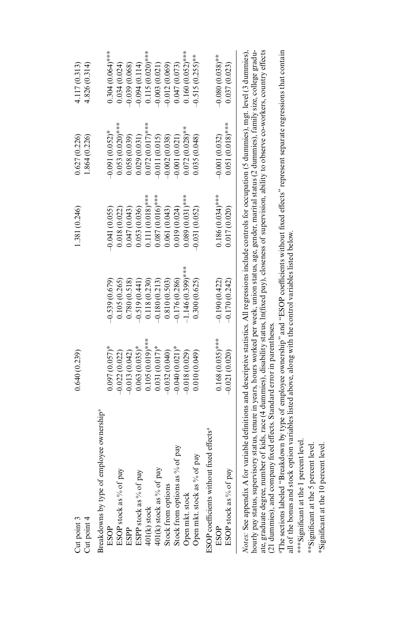| Cut point 3                                                                                                                              | 0.640(0.239)       |                     | 1.381 (0.246)      | 0.627 (0.226)      | 4.117 (0.313)      |
|------------------------------------------------------------------------------------------------------------------------------------------|--------------------|---------------------|--------------------|--------------------|--------------------|
| Cut point 4                                                                                                                              |                    |                     |                    | 1.864 (0.226)      | 4.826 (0.314)      |
| Breakdowns by type of employee ownership <sup>a</sup>                                                                                    |                    |                     |                    |                    |                    |
| ESOP                                                                                                                                     | $0.097(0.057)$ *   | $-0.539(0.679)$     | $-0.041(0.055)$    | $-0.091(0.052)$ *  | $0.304(0.064)$ *** |
| ESOP stock as % of pay                                                                                                                   | $-0.022(0.022)$    | 0.105(0.265)        | 0.018(0.022)       | $0.053(0.020)$ *** | 0.034(0.024)       |
| ESPP                                                                                                                                     | $-0.013(0.042)$    | 0.780(0.518)        | 0.047(0.043)       | 0.058(0.039)       | $-0.039(0.068)$    |
| ESPP stock as % of pay                                                                                                                   | $0.063(0.035)$ *   | $-0.519(0.441)$     | 0.053 (0.036)      | 0.029(0.031)       | $-0.094(0.114)$    |
|                                                                                                                                          | $0.105(0.019)$ *** | 0.118 (0.230)       | $0.111(0.018)$ *** | $0.072(0.017)$ *** | $0.115(0.020)$ *** |
| 401(k) stock<br>401(k) stock as % of pay                                                                                                 | $0.031(0.017)$ *   | $-0.180(0.213)$     | $0.087(0.016)$ *** | $-0.011(0.015)$    | $-0.003(0.021)$    |
| Stock from options                                                                                                                       | $-0.032(0.040)$    | 0.810(0.503)        | 0.061(0.043)       | $-0.002(0.038)$    | $-0.012(0.069)$    |
| Stock from options as % of pay                                                                                                           | $-0.040(0.021)$ *  | $-0.176(0.286)$     | 0.019 (0.024)      | $-0.001(0.021)$    | 0.047(0.073)       |
| Open mkt. stock                                                                                                                          | $-0.018(0.029)$    | $-1.146(0.399)$ *** | $0.089(0.031)$ *** | $0.072(0.028)$ **  | $0.160(0.052)$ *** |
| Open mkt. stock as % of pay                                                                                                              | 0.010(0.049)       | 0.300(0.625)        | $-0.031(0.052)$    | 0.035 (0.048)      | $-0.515(0.255)$ ** |
| ESOP coefficients without fixed effects <sup>a</sup>                                                                                     |                    |                     |                    |                    |                    |
| ESOP                                                                                                                                     | $0.168(0.035)$ *** | $-0.190(0.422)$     | $0.186(0.034)$ *** | $-0.001(0.032)$    | $-0.080(0.038)$ ** |
| ESOP stock as % of pay                                                                                                                   | $-0.021(0.020)$    | $-0.170(0.242)$     | 0.017(0.020)       | $0.051(0.018)$ *** | 0.037(0.023)       |
| Matter Caa amountly a four unital definition on d'accumulation a l'accumulation de controle for occurrent of dimension and (2 dimension) |                    |                     |                    |                    |                    |

*Notes:* See appendix A for variable definitions and descriptive statistics. All regressions include controls for occupation (5 dummies), mgt. level (3 dummies), Notes: See appendix A for variable definitions and descriptive statistics. All regressions include controls for occupation (5 dummies), mgt. level (3 dummes),<br>hourly pay status, supervisory status, tenure in years, hours w hourly pay status, supervisory status, tenure in years, hours worked per week, union status, age, gender, marital status (2 dummies), family size, college graduate, graduate degree, number of kids, race (4 dummies), disability status, ln(fi xed pay), closeness of supervision, ability to observe co- workers, country e (21 dummies), and company fixed effects. Standard error in parentheses. ffects. Standard error in parentheses.  $(21$  dummies), and company fixed e

ffects" represent separate regressions that contain "The sections labeled "Breakdown by type of employee ownership" and "ESOP coefficients without fixed effects" represent separate regressions that contain fficients without fi xed e all of the bonus and stock option variables listed above, along with the control variables listed below. all of the bonus and stock option variables listed above, along with the control variables listed below. aThe sections labeled "Breakdown by type of employee ownership" and "ESOP coe

\*\*\* Significant at the 1 percent level. ∗∗∗Signifi cant at the 1 percent level.

\*\*Significant at the 5 percent level. ∗∗Signifi cant at the 5 percent level.

'Significant at the 10 percent level. ∗Signifi cant at the 10 percent level.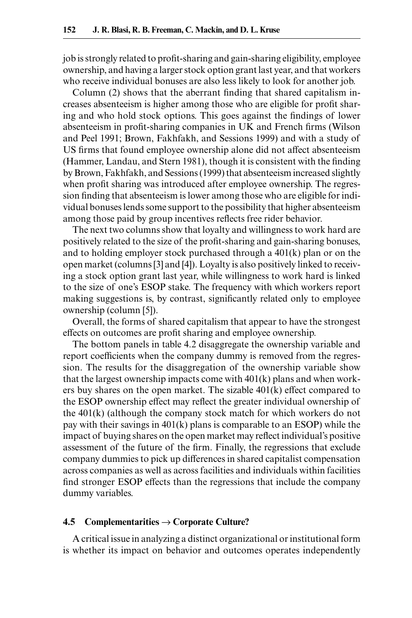job is strongly related to profit-sharing and gain-sharing eligibility, employee ownership, and having a larger stock option grant last year, and that workers who receive individual bonuses are also less likely to look for another job.

Column (2) shows that the aberrant finding that shared capitalism increases absenteeism is higher among those who are eligible for profi t sharing and who hold stock options. This goes against the findings of lower absenteeism in profit-sharing companies in UK and French firms (Wilson and Peel 1991; Brown, Fakhfakh, and Sessions 1999) and with a study of US firms that found employee ownership alone did not affect absenteeism (Hammer, Landau, and Stern 1981), though it is consistent with the finding by Brown, Fakhfakh, and Sessions (1999) that absenteeism increased slightly when profit sharing was introduced after employee ownership. The regression finding that absenteeism is lower among those who are eligible for individual bonuses lends some support to the possibility that higher absenteeism among those paid by group incentives reflects free rider behavior.

The next two columns show that loyalty and willingness to work hard are positively related to the size of the profit-sharing and gain-sharing bonuses, and to holding employer stock purchased through a 401(k) plan or on the open market (columns [3] and [4]). Loyalty is also positively linked to receiving a stock option grant last year, while willingness to work hard is linked to the size of one's ESOP stake. The frequency with which workers report making suggestions is, by contrast, significantly related only to employee ownership (column [5]).

Overall, the forms of shared capitalism that appear to have the strongest effects on outcomes are profit sharing and employee ownership.

The bottom panels in table 4.2 disaggregate the ownership variable and report coefficients when the company dummy is removed from the regression. The results for the disaggregation of the ownership variable show that the largest ownership impacts come with 401(k) plans and when workers buy shares on the open market. The sizable 401(k) effect compared to the ESOP ownership effect may reflect the greater individual ownership of the 401(k) (although the company stock match for which workers do not pay with their savings in 401(k) plans is comparable to an ESOP) while the impact of buying shares on the open market may reflect individual's positive assessment of the future of the firm. Finally, the regressions that exclude company dummies to pick up differences in shared capitalist compensation across companies as well as across facilities and individuals within facilities find stronger ESOP effects than the regressions that include the company dummy variables.

#### **4.5 Complementarities** → **Corporate Culture?**

A critical issue in analyzing a distinct organizational or institutional form is whether its impact on behavior and outcomes operates independently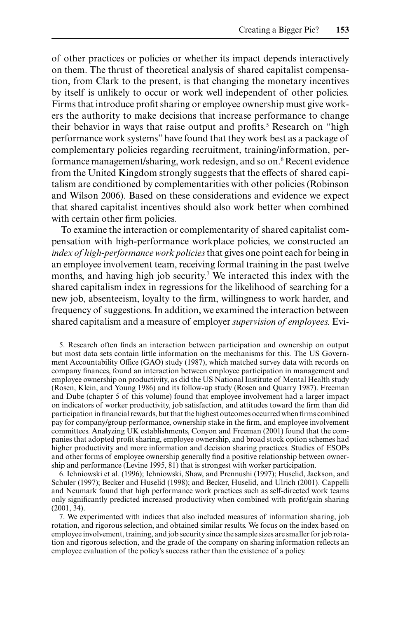of other practices or policies or whether its impact depends interactively on them. The thrust of theoretical analysis of shared capitalist compensation, from Clark to the present, is that changing the monetary incentives by itself is unlikely to occur or work well independent of other policies. Firms that introduce profit sharing or employee ownership must give workers the authority to make decisions that increase performance to change their behavior in ways that raise output and profits.<sup>5</sup> Research on "high performance work systems" have found that they work best as a package of complementary policies regarding recruitment, training/information, performance management/sharing, work redesign, and so on.<sup>6</sup> Recent evidence from the United Kingdom strongly suggests that the effects of shared capitalism are conditioned by complementarities with other policies (Robinson and Wilson 2006). Based on these considerations and evidence we expect that shared capitalist incentives should also work better when combined with certain other firm policies.

To examine the interaction or complementarity of shared capitalist compensation with high- performance workplace policies, we constructed an *index of high- performance work policies* that gives one point each for being in an employee involvement team, receiving formal training in the past twelve months, and having high job security.<sup>7</sup> We interacted this index with the shared capitalism index in regressions for the likelihood of searching for a new job, absenteeism, loyalty to the firm, willingness to work harder, and frequency of suggestions. In addition, we examined the interaction between shared capitalism and a measure of employer *supervision of employees.* Evi-

5. Research often finds an interaction between participation and ownership on output but most data sets contain little information on the mechanisms for this. The US Government Accountability Office (GAO) study (1987), which matched survey data with records on company finances, found an interaction between employee participation in management and employee ownership on productivity, as did the US National Institute of Mental Health study (Rosen, Klein, and Young 1986) and its follow-up study (Rosen and Quarry 1987). Freeman and Dube (chapter 5 of this volume) found that employee involvement had a larger impact on indicators of worker productivity, job satisfaction, and attitudes toward the firm than did participation in financial rewards, but that the highest outcomes occurred when firms combined pay for company/group performance, ownership stake in the firm, and employee involvement committees. Analyzing UK establishments, Conyon and Freeman (2001) found that the companies that adopted profit sharing, employee ownership, and broad stock option schemes had higher productivity and more information and decision sharing practices. Studies of ESOPs and other forms of employee ownership generally find a positive relationship between ownership and performance (Levine 1995, 81) that is strongest with worker participation.

6. Ichniowski et al. (1996); Ichniowski, Shaw, and Prennushi (1997); Huselid, Jackson, and Schuler (1997); Becker and Huselid (1998); and Becker, Huselid, and Ulrich (2001). Cappelli and Neumark found that high performance work practices such as self- directed work teams only significantly predicted increased productivity when combined with profit/gain sharing (2001, 34).

7. We experimented with indices that also included measures of information sharing, job rotation, and rigorous selection, and obtained similar results. We focus on the index based on employee involvement, training, and job security since the sample sizes are smaller for job rotation and rigorous selection, and the grade of the company on sharing information reflects an employee evaluation of the policy's success rather than the existence of a policy.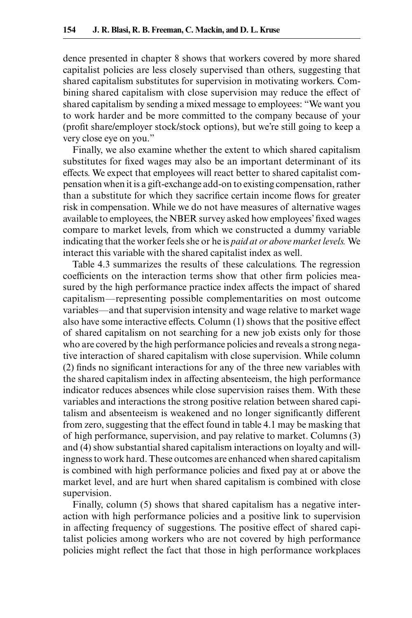dence presented in chapter 8 shows that workers covered by more shared capitalist policies are less closely supervised than others, suggesting that shared capitalism substitutes for supervision in motivating workers. Combining shared capitalism with close supervision may reduce the effect of shared capitalism by sending a mixed message to employees: "We want you to work harder and be more committed to the company because of your (profit share/employer stock/stock options), but we're still going to keep a very close eye on you."

Finally, we also examine whether the extent to which shared capitalism substitutes for fixed wages may also be an important determinant of its effects. We expect that employees will react better to shared capitalist compensation when it is a gift- exchange add- on to existing compensation, rather than a substitute for which they sacrifice certain income flows for greater risk in compensation. While we do not have measures of alternative wages available to employees, the NBER survey asked how employees' fixed wages compare to market levels, from which we constructed a dummy variable indicating that the worker feels she or he is *paid at or above market levels.* We interact this variable with the shared capitalist index as well.

Table 4.3 summarizes the results of these calculations. The regression coefficients on the interaction terms show that other firm policies measured by the high performance practice index affects the impact of shared capitalism—representing possible complementarities on most outcome variables—and that supervision intensity and wage relative to market wage also have some interactive effects. Column (1) shows that the positive effect of shared capitalism on not searching for a new job exists only for those who are covered by the high performance policies and reveals a strong negative interaction of shared capitalism with close supervision. While column  $(2)$  finds no significant interactions for any of the three new variables with the shared capitalism index in affecting absenteeism, the high performance indicator reduces absences while close supervision raises them. With these variables and interactions the strong positive relation between shared capitalism and absenteeism is weakened and no longer significantly different from zero, suggesting that the effect found in table 4.1 may be masking that of high performance, supervision, and pay relative to market. Columns (3) and (4) show substantial shared capitalism interactions on loyalty and willingness to work hard. These outcomes are enhanced when shared capitalism is combined with high performance policies and fixed pay at or above the market level, and are hurt when shared capitalism is combined with close supervision.

Finally, column (5) shows that shared capitalism has a negative interaction with high performance policies and a positive link to supervision in affecting frequency of suggestions. The positive effect of shared capitalist policies among workers who are not covered by high performance policies might reflect the fact that those in high performance workplaces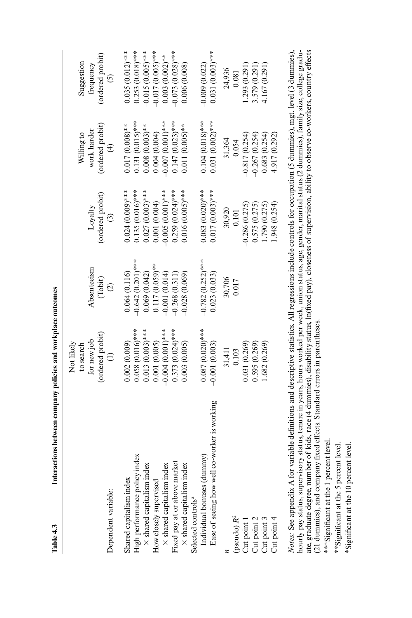Interactions between company policies and workplace outcomes **Table 4.3 Interactions between company policies and workplace outcomes**

Table 4.3

 $0.253(0.018)$ \*\*\*  $-0.015(0.005)$ \*\*\*  $-0.017(0.005)$ \*\*\*  $-0.073(0.028)$ \*\*\*  $0.035(0.012)$ \*\*\* \*\*\*(^(100) S\$P\$20.00 (0.02 (0.002) 1002 (0.009) №1009 (0.009) (0.0009) (0.0009) (0.009) (0.009) 0.000 0.000 0.000 0.000 0.000 0.000 0.00 0.04 №1 (0.09 0.04 №1 0.04 №1 0.012) № 1.02 № 1.02 № 1.025 № 1.025 № 1.025 № 1.025 High performance policy index 0.0158 (0.016) +0.64°∗∗ −0.058 (0.016) +0.042 (0.015) €0.015 (0.015) 0.015) +0.253 (0.018) ≈∗∗∗ 0.253 (0.018) +0.253 (0.018) +0.253 (0.018) +0.253 (0.018) +0.253 (0.018) +0.253 (0.018) +0.253 «shared capitalism index 0.013 (0.013 (0.003) 0.001 0.027 (0.027 (0.027 (0.027 (0.028) 0.015 (0.015 0.015 (0.0<br>У∗∗∗ 0.027 (0.027 (0.027 (0.027 (0.027 (0.028) 0.015 (0.028) 0.015 (0.015 0.015 0.015 0.015 0.015 0.015 0.0 \*\*\*. GOO:O) LIO:O───────(†00:O) †00:O─────(100:O) — (100:O) = (6.00;O) LII (0.00°O) 100;O (0.00°O) 100;O  $0.003(0.002)$ \*\* Fixed pay at or above market 0.023 (0.024) (1.024) 1.0243 (0.273 (0.024) 0.259 (0.024) 1.0.259 (0.024) 0.259 (0.024) 0.259 (0.024) 0.073 (0.024) 0.073 (0.024) 1.071 (0.024) 1.071 (0.024)  $0.031(0.003)$ \*\*\* ease of seeing how well co- worker is working –0.001 (0.003) 0.023 (0.003) 0.023 (0.003) 0.031 (0.003) 0.031 (0.032) 0.031 (0.031 (0.031 0.031 0.031 0.031 0.031 0.031 (0.031 0.031 0.031 0.031 0.031 0.031 0.031 0.031 0.031 (ordered probit) (ordered probit) shared capitalism index –0.004 (0.001)∗∗∗ –0.001 (0.014) –0.005 (0.001)∗∗∗ –0.007 (0.001)∗∗∗ 0.003 (0.002)∗∗ Suggestion Suggestion frequency  $0.006(0.008)$  shared capitalism index 0.003 (0.005) –0.028 (0.069) 0.016 (0.005)∗∗∗ 0.011 (0.005)∗∗ 0.006 (0.008)  $-0.009(0.022)$ IONDIVIDUS DONUS DONUS AS \*\*\* (O.O.O.O.02000) 1.800 (0.020° −0.00° ×0.020° (0.020° 0.02000) €0.001 (0.0222) €0.02220 (0.0222) €0.0019 (0.0222) Cut point 1 1 12:50 – 2.027.01 (0.275) – 2.027.01 (0.275) – 2.097.01 (0.275) – 2.097.01 (0.275) 1.293 (0.2754)  $C$ ut point 2 0.595 (0.275) (0.275 (0.275) (0.575 (0.375) 3.575 (0.275) 3.575 (0.275) 3.579 (0.275) 3.579 (0.279 (0.275) 3.579 (1.274) 4.167 (0.291)  $C$ ut point 3  $(0.25,0.26,0.26)$   $(0.275)$   $(0.275)$   $(0.275)$   $(0.275)$   $(0.275)$   $(0.275)$   $(0.275)$   $(0.275)$   $(0.275)$   $(0.275)$   $(0.275)$   $(0.275)$   $(0.275)$   $(0.275)$   $(0.275)$   $(0.275)$   $(0.275)$   $(0.275)$   $(0.275)$ 1.293 (0.291) 3.579 (0.291) 24,936 31,411 30,706 30,920 31,364 24,936 0.081 *R*2 0.103 0.017 0.101 0.054 0.081  $\odot$  $O(2)$  (1)  $(1)$  (3)  $(2)$  (1)  $(1)$  (1)  $(3)$  (5)  $(4)$  (5)  $(5)$  $0.104(0.018)$ \*\*\*  $0.031(0.002)$ \*\*\*  $0.131(0.015)$ \*\*\*  $0.007(0.001)$ \*\*\*  $0.147(0.023)$ \*\*\* (ordered probit) (ordered probit)  $0.017(0.008)$ \*\*  $0.008(0.003)$ \*\*  $0.011(0.005)$ \*\* work harder work harder Willing to  $0.004(0.004)$  $-0.267(0.254)$  $0.683(0.254)$ 4.917 (0.292)  $-0.817(0.254)$  $\frac{1}{2}$  (167.0)  $\frac{1}{2}$  (167.0) 876.1  $\frac{1}{2}$  (17.02.2020) 4.917 (18.02.2020) 4.917 (18.02.2020) 4.917 (17.02.2020) 4.917 (17.02.2020) 4.02.2020 31,364 0.054  $\widehat{f}$  $0.135(0.016)$ \*\*\*  $0.005(0.001)$ \*\*\*  $0.259(0.024)$ \*\*\*  $0.016(0.005)$ \*\*\*  $0.083(0.020)*$  $0.017(0.003)$ \*\*\*  $0.024(0.009)$ \*\*\*  $0.027(0.003)$ \*\*\* (ordered probit) (ordered probit)  $0.001(0.004)$ .790 (0.275) .948 (0.254)  $0.286(0.275)$ 0.575 (0.275) Loyalty 30,920 0.101  $\widehat{c}$  $-0.642(0.201)$ \*\*\*  $-0.782(0.252)$ \*\*\*  $0.117(0.059)$ \*\* Absenteeism Absenteeism  $0.064(0.116)$  $0.069(0.042)$  $-0.001(0.014)$  $-0.268(0.311)$  $0.023(0.033)$  $-0.028(0.069)$ (Tobit) 30,706 0.017  $\widehat{c}$  $0.058(0.016)$ \*\*\*  $0.013(0.003)$ \*\*\*  $0.004(00.001)$ \*\*\*  $0.087(0.020)$ \*\*\*  $0.373(0.024)$ \*\*\* (ordered probit) (ordered probit) for new job for new job  $0.001(0.005)$  $0.002(0.009)$  $-0.001(0.003)$ Not likely to search to search  $0.003(0.005)$ 0.031 (0.269)  $0.595(0.269)$ 1.682 (0.269) 31,411 0.103  $\widehat{\Xi}$ Ease of seeing how well co-worker is working High performance policy index Individual bonuses (dummy) Fixed pay at or above market  $\times$  shared capitalism index  $\times$  shared capitalism index  $\times$  shared capitalism index Shared capitalism index How closely supervised Dependent variable: Selected controls<sup>a</sup> Selected controlsa (pseudo)  $R^2$ Cut point 1 Cut point 2 Cut point 3 Cut point 4

*Notes:* See appendix A for variable definitions and descriptive statistics. All regressions include controls for occupation (5 dummies), mgt. level (3 dummies), nourly pay status, supervisory status, tenure in years, hours worked per week, union status, age, gender, marital status (2 dummies), family size, college graduate, graduate degree, number of kids, race (4 dummies), disability status, In(fixed pay), closeness of supervision, ability to observe co-workers, country effects hourly pay status, supervisory status, tenure in years, hours worked per week, union status, age, gender, marital status (2 dummies), family size, college gradu-Notes: See appendix A for variable definitions and descriptive statistics. All regressions include controls for occupation (5 dummies), mgt. level (3 dummies), ate, graduate degree, number of kids, race (4 dummies), disability status, ln(fi xed pay), closeness of supervision, ability to observe co- workers, country e 21 dummies), and company fixed effects. Standard errors in parentheses. ffects. Standard errors in parentheses.  $(21$  dummies), and company fixed e

\*\*\* Significant at the 1 percent level. ∗∗∗Signifi cant at the 1 percent level.

\*\*Significant at the 5 percent level. ∗∗Signifi cant at the 5 percent level.

∗Signifi cant at the 10 percent level.'Significant at the 10 percent level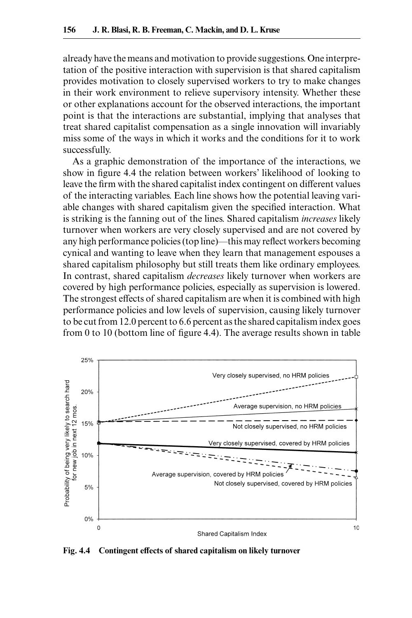already have the means and motivation to provide suggestions. One interpretation of the positive interaction with supervision is that shared capitalism provides motivation to closely supervised workers to try to make changes in their work environment to relieve supervisory intensity. Whether these or other explanations account for the observed interactions, the important point is that the interactions are substantial, implying that analyses that treat shared capitalist compensation as a single innovation will invariably miss some of the ways in which it works and the conditions for it to work successfully.

As a graphic demonstration of the importance of the interactions, we show in figure 4.4 the relation between workers' likelihood of looking to leave the firm with the shared capitalist index contingent on different values of the interacting variables. Each line shows how the potential leaving variable changes with shared capitalism given the specified interaction. What is striking is the fanning out of the lines. Shared capitalism *increases* likely turnover when workers are very closely supervised and are not covered by any high performance policies (top line)—this may reflect workers becoming cynical and wanting to leave when they learn that management espouses a shared capitalism philosophy but still treats them like ordinary employees. In contrast, shared capitalism *decreases* likely turnover when workers are covered by high performance policies, especially as supervision is lowered. The strongest effects of shared capitalism are when it is combined with high performance policies and low levels of supervision, causing likely turnover to be cut from 12.0 percent to 6.6 percent as the shared capitalism index goes from 0 to 10 (bottom line of figure 4.4). The average results shown in table



**Fig. 4.4 Contingent effects of shared capitalism on likely turnover**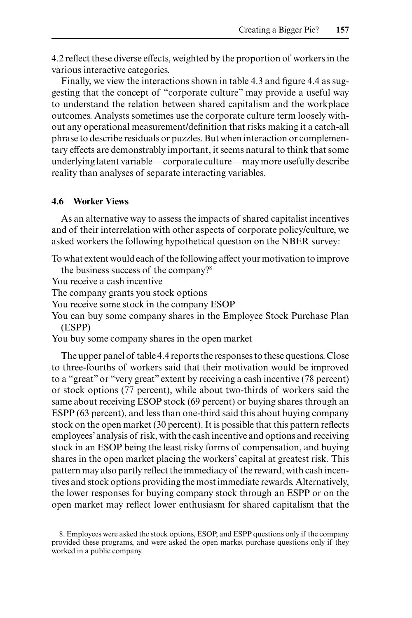4.2 reflect these diverse effects, weighted by the proportion of workers in the various interactive categories.

Finally, we view the interactions shown in table 4.3 and figure 4.4 as suggesting that the concept of "corporate culture" may provide a useful way to understand the relation between shared capitalism and the workplace outcomes. Analysts sometimes use the corporate culture term loosely without any operational measurement/definition that risks making it a catch-all phrase to describe residuals or puzzles. But when interaction or complementary effects are demonstrably important, it seems natural to think that some underlying latent variable—corporate culture—may more usefully describe reality than analyses of separate interacting variables.

#### **4.6 Worker Views**

As an alternative way to assess the impacts of shared capitalist incentives and of their interrelation with other aspects of corporate policy/culture, we asked workers the following hypothetical question on the NBER survey:

To what extent would each of the following affect your motivation to improve the business success of the company?8

You receive a cash incentive

The company grants you stock options

You receive some stock in the company ESOP

You can buy some company shares in the Employee Stock Purchase Plan (ESPP)

You buy some company shares in the open market

The upper panel of table 4.4 reports the responses to these questions. Close to three- fourths of workers said that their motivation would be improved to a "great" or "very great" extent by receiving a cash incentive (78 percent) or stock options (77 percent), while about two- thirds of workers said the same about receiving ESOP stock (69 percent) or buying shares through an ESPP (63 percent), and less than one- third said this about buying company stock on the open market (30 percent). It is possible that this pattern reflects employees' analysis of risk, with the cash incentive and options and receiving stock in an ESOP being the least risky forms of compensation, and buying shares in the open market placing the workers' capital at greatest risk. This pattern may also partly reflect the immediacy of the reward, with cash incentives and stock options providing the most immediate rewards. Alternatively, the lower responses for buying company stock through an ESPP or on the open market may reflect lower enthusiasm for shared capitalism that the

<sup>8.</sup> Employees were asked the stock options, ESOP, and ESPP questions only if the company provided these programs, and were asked the open market purchase questions only if they worked in a public company.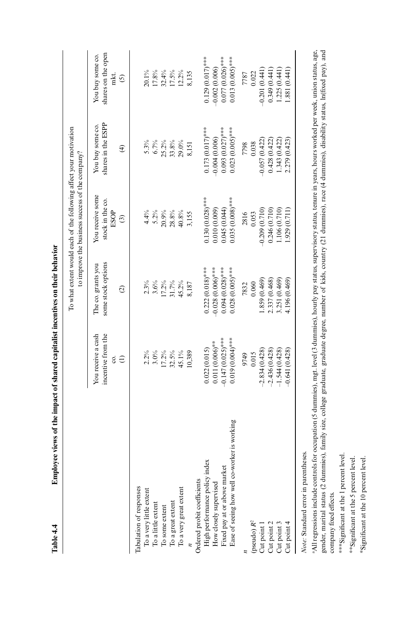|                                                                                  |                                                             |                                                           | To what extent would each of the following affect your motivation<br>to improve the business success of the company? |                                             |                                                           |
|----------------------------------------------------------------------------------|-------------------------------------------------------------|-----------------------------------------------------------|----------------------------------------------------------------------------------------------------------------------|---------------------------------------------|-----------------------------------------------------------|
|                                                                                  | You receive a cash<br>incentive from the<br>S.<br>$\ominus$ | some stock options<br>The co. grants you<br>$\widehat{c}$ | You receive some<br>stock in the co.<br>ESOP<br>$\odot$                                                              | shares in the ESPP<br>You buy some co.<br>E | shares on the open<br>You buy some co.<br>mkt.<br>$\odot$ |
| Tabulation of responses                                                          |                                                             |                                                           |                                                                                                                      |                                             |                                                           |
|                                                                                  |                                                             | 2.3%                                                      | 4.4%                                                                                                                 | 5.3%                                        | $20.1\%$                                                  |
| To a very little extent<br>To a little extent<br>To some extent                  | $2.2\%$<br>3.0%                                             | 3.6%                                                      | $5.2\%$                                                                                                              | 6.7%                                        | $17.8\%$                                                  |
|                                                                                  | 17.2%                                                       | 17.2%                                                     | $20.9\%$                                                                                                             | $25.2\%$                                    | 32.4%                                                     |
|                                                                                  | $32.5\%$                                                    | 31.7%                                                     | $28.8%$<br>40.8%                                                                                                     | $33.8\%$                                    | $17.5\%$                                                  |
| To a great extent<br>To a very great extent                                      | 45.1%                                                       | 45.2%                                                     |                                                                                                                      | $29.0\%$                                    | 12.2%                                                     |
|                                                                                  | 10,389                                                      | 8,187                                                     | 3,155                                                                                                                | 8,151                                       | 8,135                                                     |
| Ordered probit coefficients                                                      |                                                             |                                                           |                                                                                                                      |                                             |                                                           |
| index                                                                            | 0.022(0.015)                                                | $0.222(0.018)$ ***                                        | $0.130(0.028)$ ***                                                                                                   | $0.173(0.017)$ ***                          | $0.129(0.017)$ ***                                        |
| High performance policy<br>How closely supervised                                | $0.011(0.006)$ **                                           | $-0.028(0.006)$ ***                                       | 0.010(0.009)                                                                                                         | 0.004(0.006)                                | $-0.002(0.006)$                                           |
| Fixed pay at or above market                                                     | $-0.147(0.025)$ ***                                         | $0.094(0.028)$ ***                                        | 0.045(0.044)                                                                                                         | $0.093(0.027)$ ***                          | $0.077(0.026)$ ***                                        |
| co-worker is working<br>Ease of seeing how well                                  | $0.019(0.004)$ ***                                          | $0.028(0.005)$ ***                                        | $0.035(0.008)$ ***                                                                                                   | $0.023(0.005)$ ***                          | $0.013(0.005)$ ***                                        |
|                                                                                  | 9749                                                        | 7832                                                      | 2816                                                                                                                 | 7798                                        | 7787                                                      |
| (pseudo) $\mathbb{R}^2$                                                          | 0.015                                                       | 0.060                                                     | 0.053                                                                                                                | 0.038                                       | 0.022                                                     |
| Cut point 1                                                                      | $-2.834(0.428)$                                             | (0.469)                                                   | $-0.209(0.710)$                                                                                                      | $-0.057(0.422)$                             | $-0.201(0.441)$                                           |
| Cut point 2<br>Cut point 3                                                       | $-2.436(0.428)$                                             | 2.337 (0.468)                                             | 0.246(0.710)                                                                                                         | 0.428(0.422)                                | 0.349(0.441)                                              |
|                                                                                  | $-1.544(0.428)$                                             | .251(0.469)                                               | 1.106(0.710)                                                                                                         | 1.343(0.422)                                | 1.225(0.441)                                              |
| Cut point 4                                                                      | $-0.641(0.428)$                                             | 4.196 (0.469)                                             | (1.029(0.711))                                                                                                       | 2.279 (0.423)                               | (.881(0.441)                                              |
| $\mathbf{M}$ and $\mathbf{M}$ are $\mathbf{M}$ and $\mathbf{M}$ and $\mathbf{M}$ |                                                             |                                                           |                                                                                                                      |                                             |                                                           |

Employee views of the impact of shared capitalist incentives on their behavior **Table 4.4 Employee views of the impact of shared capitalist incentives on their behavior**

Table 4.4

Note: Standard error in parentheses. *Note:* Standard error in parentheses.

"All regressions include controls for occupation (5 dummies), mgt. level (3 dummies), hourly pay status, supervisory status, tenure in years, hours worked per week, union status, age, gender, marital status (2 dummies), fa aAll regressions include controls for occupation (5 dummies), mgt. level (3 dummies), hourly pay status, supervisory status, tenure in years, hours worked per week, union status, age, gender, marital status (2 dummies), family size, college graduate, graduate degree, number of kids, country (21 dummies), race (4 dummies), disability status, ln(fixed pay), and company fixed effects. company fixed e

\*\*\* Significant at the 1 percent level. ∗∗∗Signifi cant at the 1 percent level.

\*\*Significant at the 5 percent level. ∗∗Signifi cant at the 5 percent level.

\*Significant at the 10 percent level. ∗Signifi cant at the 10 percent level.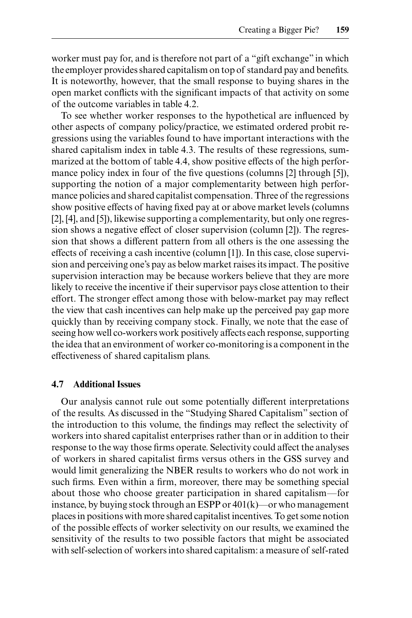worker must pay for, and is therefore not part of a "gift exchange" in which the employer provides shared capitalism on top of standard pay and benefits. It is noteworthy, however, that the small response to buying shares in the open market conflicts with the significant impacts of that activity on some of the outcome variables in table 4.2.

To see whether worker responses to the hypothetical are influenced by other aspects of company policy/ practice, we estimated ordered probit regressions using the variables found to have important interactions with the shared capitalism index in table 4.3. The results of these regressions, summarized at the bottom of table 4.4, show positive effects of the high performance policy index in four of the five questions (columns [2] through [5]), supporting the notion of a major complementarity between high performance policies and shared capitalist compensation. Three of the regressions show positive effects of having fixed pay at or above market levels (columns [2], [4], and [5]), likewise supporting a complementarity, but only one regression shows a negative effect of closer supervision (column [2]). The regression that shows a different pattern from all others is the one assessing the effects of receiving a cash incentive (column [1]). In this case, close supervision and perceiving one's pay as below market raises its impact. The positive supervision interaction may be because workers believe that they are more likely to receive the incentive if their supervisor pays close attention to their effort. The stronger effect among those with below-market pay may reflect the view that cash incentives can help make up the perceived pay gap more quickly than by receiving company stock. Finally, we note that the ease of seeing how well co- workers work positively affects each response, supporting the idea that an environment of worker co- monitoring is a component in the effectiveness of shared capitalism plans.

#### **4.7 Additional Issues**

Our analysis cannot rule out some potentially different interpretations of the results. As discussed in the "Studying Shared Capitalism" section of the introduction to this volume, the findings may reflect the selectivity of workers into shared capitalist enterprises rather than or in addition to their response to the way those firms operate. Selectivity could affect the analyses of workers in shared capitalist firms versus others in the GSS survey and would limit generalizing the NBER results to workers who do not work in such firms. Even within a firm, moreover, there may be something special about those who choose greater participation in shared capitalism—for instance, by buying stock through an ESPP or 401(k)—or who management places in positions with more shared capitalist incentives. To get some notion of the possible effects of worker selectivity on our results, we examined the sensitivity of the results to two possible factors that might be associated with self-selection of workers into shared capitalism: a measure of self-rated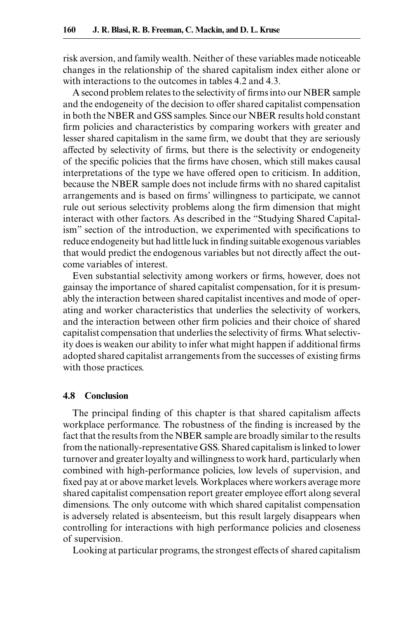risk aversion, and family wealth. Neither of these variables made noticeable changes in the relationship of the shared capitalism index either alone or with interactions to the outcomes in tables 4.2 and 4.3.

A second problem relates to the selectivity of firms into our NBER sample and the endogeneity of the decision to offer shared capitalist compensation in both the NBER and GSS samples. Since our NBER results hold constant firm policies and characteristics by comparing workers with greater and lesser shared capitalism in the same firm, we doubt that they are seriously affected by selectivity of firms, but there is the selectivity or endogeneity of the specific policies that the firms have chosen, which still makes causal interpretations of the type we have offered open to criticism. In addition, because the NBER sample does not include firms with no shared capitalist arrangements and is based on firms' willingness to participate, we cannot rule out serious selectivity problems along the firm dimension that might interact with other factors. As described in the "Studying Shared Capitalism" section of the introduction, we experimented with specifications to reduce endogeneity but had little luck in finding suitable exogenous variables that would predict the endogenous variables but not directly affect the outcome variables of interest.

Even substantial selectivity among workers or firms, however, does not gainsay the importance of shared capitalist compensation, for it is presumably the interaction between shared capitalist incentives and mode of operating and worker characteristics that underlies the selectivity of workers, and the interaction between other firm policies and their choice of shared capitalist compensation that underlies the selectivity of firms. What selectivity does is weaken our ability to infer what might happen if additional firms adopted shared capitalist arrangements from the successes of existing firms with those practices.

#### **4.8 Conclusion**

The principal finding of this chapter is that shared capitalism affects workplace performance. The robustness of the finding is increased by the fact that the results from the NBER sample are broadly similar to the results from the nationally- representative GSS. Shared capitalism is linked to lower turnover and greater loyalty and willingness to work hard, particularly when combined with high- performance policies, low levels of supervision, and fixed pay at or above market levels. Workplaces where workers average more shared capitalist compensation report greater employee effort along several dimensions. The only outcome with which shared capitalist compensation is adversely related is absenteeism, but this result largely disappears when controlling for interactions with high performance policies and closeness of supervision.

Looking at particular programs, the strongest effects of shared capitalism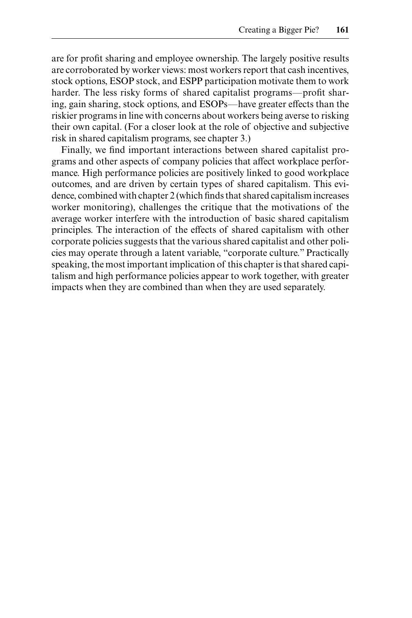are for profit sharing and employee ownership. The largely positive results are corroborated by worker views: most workers report that cash incentives, stock options, ESOP stock, and ESPP participation motivate them to work harder. The less risky forms of shared capitalist programs—profit sharing, gain sharing, stock options, and ESOPs—have greater effects than the riskier programs in line with concerns about workers being averse to risking their own capital. (For a closer look at the role of objective and subjective risk in shared capitalism programs, see chapter 3.)

Finally, we find important interactions between shared capitalist programs and other aspects of company policies that affect workplace performance. High performance policies are positively linked to good workplace outcomes, and are driven by certain types of shared capitalism. This evidence, combined with chapter 2 (which finds that shared capitalism increases worker monitoring), challenges the critique that the motivations of the average worker interfere with the introduction of basic shared capitalism principles. The interaction of the effects of shared capitalism with other corporate policies suggests that the various shared capitalist and other policies may operate through a latent variable, "corporate culture." Practically speaking, the most important implication of this chapter is that shared capitalism and high performance policies appear to work together, with greater impacts when they are combined than when they are used separately.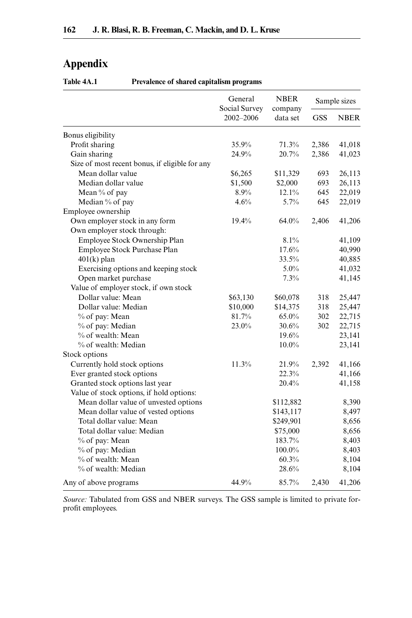## **Appendix**

| Prevalence of shared capitalism programs<br>Table 4A.1 |                          |                        |            |              |
|--------------------------------------------------------|--------------------------|------------------------|------------|--------------|
|                                                        | General<br>Social Survey | <b>NBER</b><br>company |            | Sample sizes |
|                                                        | 2002-2006                | data set               | <b>GSS</b> | NBER         |
| Bonus eligibility                                      |                          |                        |            |              |
| Profit sharing                                         | 35.9%                    | 71.3%                  | 2,386      | 41,018       |
| Gain sharing                                           | 24.9%                    | 20.7%                  | 2,386      | 41,023       |
| Size of most recent bonus, if eligible for any         |                          |                        |            |              |
| Mean dollar value                                      | \$6,265                  | \$11,329               | 693        | 26,113       |
| Median dollar value                                    | \$1,500                  | \$2,000                | 693        | 26,113       |
| Mean % of pay                                          | 8.9%                     | 12.1%                  | 645        | 22,019       |
| Median % of pay                                        | 4.6%                     | 5.7%                   | 645        | 22,019       |
| Employee ownership                                     |                          |                        |            |              |
| Own employer stock in any form                         | 19.4%                    | 64.0%                  | 2,406      | 41,206       |
| Own employer stock through:                            |                          |                        |            |              |
| Employee Stock Ownership Plan                          |                          | 8.1%                   |            | 41,109       |
| Employee Stock Purchase Plan                           |                          | 17.6%                  |            | 40,990       |
| $401(k)$ plan                                          |                          | 33.5%                  |            | 40,885       |
| Exercising options and keeping stock                   |                          | $5.0\%$                |            | 41,032       |
| Open market purchase                                   |                          | 7.3%                   |            | 41,145       |
| Value of employer stock, if own stock                  |                          |                        |            |              |
| Dollar value: Mean                                     | \$63,130                 | \$60,078               | 318        | 25,447       |
| Dollar value: Median                                   | \$10,000                 | \$14,375               | 318        | 25,447       |
| % of pay: Mean                                         | 81.7%                    | 65.0%                  | 302        | 22,715       |
| % of pay: Median                                       | 23.0%                    | 30.6%                  | 302        | 22,715       |
| % of wealth: Mean                                      |                          | 19.6%                  |            | 23,141       |
| % of wealth: Median                                    |                          | $10.0\%$               |            | 23,141       |
| Stock options                                          |                          |                        |            |              |
| Currently hold stock options                           | 11.3%                    | 21.9%                  | 2,392      | 41,166       |
| Ever granted stock options                             |                          | 22.3%                  |            | 41,166       |
| Granted stock options last year                        |                          | 20.4%                  |            | 41,158       |
| Value of stock options, if hold options:               |                          |                        |            |              |
| Mean dollar value of unvested options                  |                          | \$112,882              |            | 8,390        |
| Mean dollar value of vested options                    |                          | \$143,117              |            | 8,497        |
| Total dollar value: Mean                               |                          | \$249,901              |            | 8,656        |
| Total dollar value: Median                             |                          | \$75,000               |            | 8,656        |
| % of pay: Mean                                         |                          | 183.7%                 |            | 8,403        |
| % of pay: Median                                       |                          | 100.0%                 |            | 8,403        |
| % of wealth: Mean                                      |                          | 60.3%                  |            | 8,104        |
| % of wealth: Median                                    |                          | 28.6%                  |            | 8,104        |
| Any of above programs                                  | 44.9%                    | 85.7%                  | 2,430      | 41,206       |

*Source:* Tabulated from GSS and NBER surveys. The GSS sample is limited to private forprofit employees.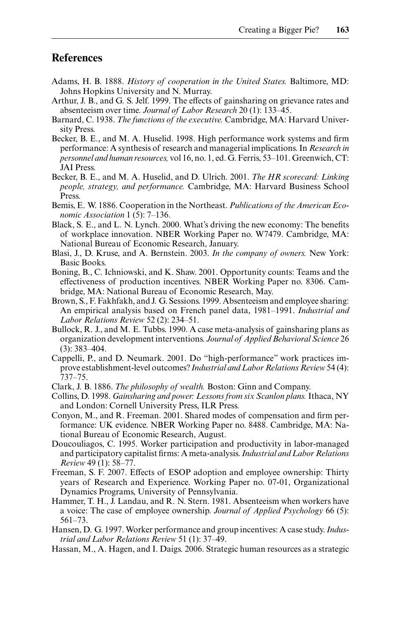### **References**

- Adams, H. B. 1888. *History of cooperation in the United States.* Baltimore, MD: Johns Hopkins University and N. Murray.
- Arthur, J. B., and G. S. Jelf. 1999. The effects of gainsharing on grievance rates and absenteeism over time. *Journal of Labor Research* 20 (1): 133–45.
- Barnard, C. 1938. *The functions of the executive.* Cambridge, MA: Harvard University Press.
- Becker, B. E., and M. A. Huselid. 1998. High performance work systems and firm performance: A synthesis of research and managerial implications. In *Research in personnel and human resources,* vol 16, no. 1, ed. G. Ferris, 53– 101. Greenwich, CT: JAI Press.
- Becker, B. E., and M. A. Huselid, and D. Ulrich. 2001. *The HR scorecard: Linking people, strategy, and performance.* Cambridge, MA: Harvard Business School Press.
- Bemis, E. W. 1886. Cooperation in the Northeast. *Publications of the American Economic Association* 1 (5): 7-136.
- Black, S. E., and L. N. Lynch. 2000. What's driving the new economy: The benefits of workplace innovation. NBER Working Paper no. W7479. Cambridge, MA: National Bureau of Economic Research, January.
- Blasi, J., D. Kruse, and A. Bernstein. 2003. *In the company of owners.* New York: Basic Books.
- Boning, B., C. Ichniowski, and K. Shaw. 2001. Opportunity counts: Teams and the effectiveness of production incentives. NBER Working Paper no. 8306. Cambridge, MA: National Bureau of Economic Research, May.
- Brown, S., F. Fakhfakh, and J. G. Sessions. 1999. Absenteeism and employee sharing: An empirical analysis based on French panel data, 1981–1991. *Industrial and Labor Relations Review* 52 (2): 234-51.
- Bullock, R. J., and M. E. Tubbs. 1990. A case meta- analysis of gainsharing plans as organization development interventions. *Journal of Applied Behavioral Science* 26  $(3)$ : 383–404.
- Cappelli, P., and D. Neumark. 2001. Do "high- performance" work practices improve establishment- level outcomes? *Industrial and Labor Relations Review* 54 (4): 737– 75.
- Clark, J. B. 1886. *The philosophy of wealth.* Boston: Ginn and Company.
- Collins, D. 1998. *Gainsharing and power: Lessons from six Scanlon plans.* Ithaca, NY and London: Cornell University Press, ILR Press.
- Conyon, M., and R. Freeman. 2001. Shared modes of compensation and firm performance: UK evidence. NBER Working Paper no. 8488. Cambridge, MA: National Bureau of Economic Research, August.
- Doucouliagos, C. 1995. Worker participation and productivity in labor- managed and participatory capitalist firms: A meta-analysis. *Industrial and Labor Relations Review* 49 (1): 58-77.
- Freeman, S. F. 2007. Effects of ESOP adoption and employee ownership: Thirty years of Research and Experience. Working Paper no. 07-01, Organizational Dynamics Programs, University of Pennsylvania.
- Hammer, T. H., J. Landau, and R. N. Stern. 1981. Absenteeism when workers have a voice: The case of employee ownership. *Journal of Applied Psychology* 66 (5):  $561 - 73.$
- Hansen, D. G. 1997. Worker performance and group incentives: A case study. *Industrial and Labor Relations Review* 51 (1): 37–49.
- Hassan, M., A. Hagen, and I. Daigs. 2006. Strategic human resources as a strategic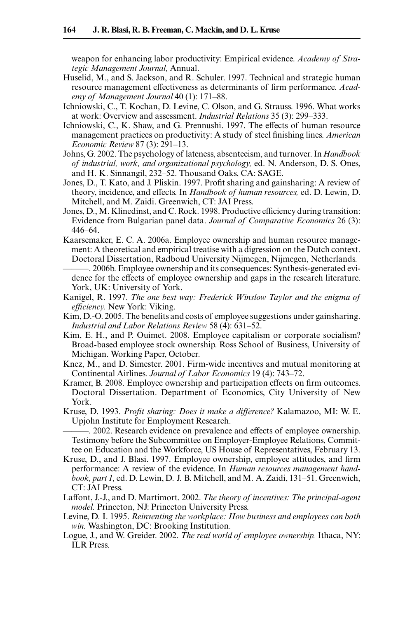weapon for enhancing labor productivity: Empirical evidence. *Academy of Strategic Management Journal,* Annual.

- Huselid, M., and S. Jackson, and R. Schuler. 1997. Technical and strategic human resource management effectiveness as determinants of firm performance. Acad*emy of Management Journal* 40 (1): 171–88.
- Ichniowski, C., T. Kochan, D. Levine, C. Olson, and G. Strauss. 1996. What works at work: Overview and assessment. *Industrial Relations* 35 (3): 299– 333.
- Ichniowski, C., K. Shaw, and G. Prennushi. 1997. The effects of human resource management practices on productivity: A study of steel finishing lines. *American Economic Review* 87 (3): 291–13.
- Johns, G. 2002. The psychology of lateness, absenteeism, and turnover. In *Handbook of industrial, work, and organizational psychology,* ed. N. Anderson, D. S. Ones, and H. K. Sinnangil, 232–52. Thousand Oaks, CA: SAGE.
- Jones, D., T. Kato, and J. Pliskin. 1997. Profi t sharing and gainsharing: A review of theory, incidence, and effects. In *Handbook of human resources,* ed. D. Lewin, D. Mitchell, and M. Zaidi. Greenwich, CT: JAI Press.
- Jones, D., M. Klinedinst, and C. Rock. 1998. Productive efficiency during transition: Evidence from Bulgarian panel data. *Journal of Comparative Economics* 26 (3): 446– 64.
- Kaarsemaker, E. C. A. 2006a. Employee ownership and human resource management: A theoretical and empirical treatise with a digression on the Dutch context. Doctoral Dissertation, Radboud University Nijmegen, Nijmegen, Netherlands.
- ———. 2006b. Employee ownership and its consequences: Synthesis- generated evidence for the effects of employee ownership and gaps in the research literature. York, UK: University of York.
- Kanigel, R. 1997. *The one best way: Frederick Winslow Taylor and the enigma of efficiency.* New York: Viking.
- Kim, D.-O. 2005. The benefits and costs of employee suggestions under gainsharing. *Industrial and Labor Relations Review* 58 (4): 631–52.
- Kim, E. H., and P. Ouimet. 2008. Employee capitalism or corporate socialism? Broad- based employee stock ownership. Ross School of Business, University of Michigan. Working Paper, October.
- Knez, M., and D. Simester. 2001. Firm- wide incentives and mutual monitoring at Continental Airlines. *Journal of Labor Economics* 19 (4): 743–72.
- Kramer, B. 2008. Employee ownership and participation effects on firm outcomes. Doctoral Dissertation. Department of Economics, City University of New York.
- Kruse, D. 1993. *Profi t sharing: Does it make a difference?* Kalamazoo, MI: W. E. Upjohn Institute for Employment Research.

———. 2002. Research evidence on prevalence and effects of employee ownership. Testimony before the Subcommittee on Employer- Employee Relations, Committee on Education and the Workforce, US House of Representatives, February 13.

- Kruse, D., and J. Blasi. 1997. Employee ownership, employee attitudes, and firm performance: A review of the evidence. In *Human resources management handbook, part 1, ed. D. Lewin, D. J. B. Mitchell, and M. A. Zaidi, 131–51. Greenwich,* CT: JAI Press.
- Laffont, J.-J., and D. Martimort. 2002. *The theory of incentives: The principal-agent model.* Princeton, NJ: Princeton University Press.
- Levine, D. I. 1995. *Reinventing the workplace: How business and employees can both win.* Washington, DC: Brooking Institution.
- Logue, J., and W. Greider. 2002. *The real world of employee ownership.* Ithaca, NY: ILR Press.